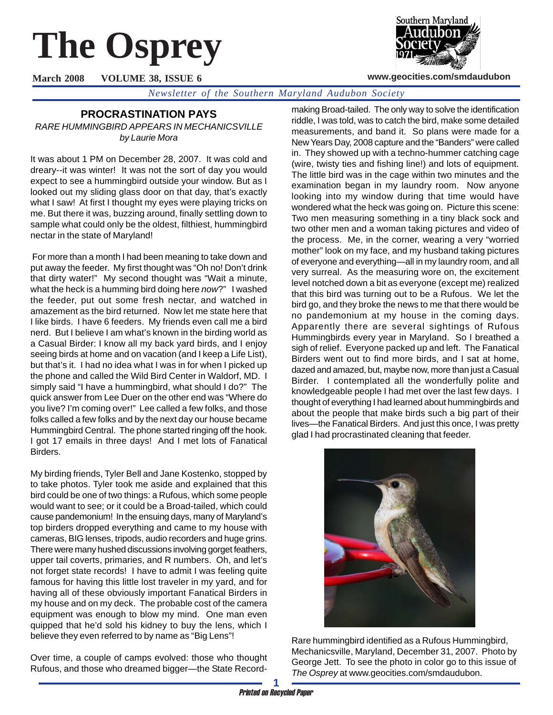# **The Osprey**



**www.geocities.com/smdaudubon**

**March 2008 VOLUME 38, ISSUE 6**

*Newsletter of the Southern Maryland Audubon Society*

## **PROCRASTINATION PAYS**

*RARE HUMMINGBIRD APPEARS IN MECHANICSVILLE by Laurie Mora*

It was about 1 PM on December 28, 2007. It was cold and dreary--it was winter! It was not the sort of day you would expect to see a hummingbird outside your window. But as I looked out my sliding glass door on that day, that's exactly what I saw! At first I thought my eyes were playing tricks on me. But there it was, buzzing around, finally settling down to sample what could only be the oldest, filthiest, hummingbird nectar in the state of Maryland!

 For more than a month I had been meaning to take down and put away the feeder. My first thought was "Oh no! Don't drink that dirty water!" My second thought was "Wait a minute, what the heck is a humming bird doing here *now*?" I washed the feeder, put out some fresh nectar, and watched in amazement as the bird returned. Now let me state here that I like birds. I have 6 feeders. My friends even call me a bird nerd. But I believe I am what's known in the birding world as a Casual Birder: I know all my back yard birds, and I enjoy seeing birds at home and on vacation (and I keep a Life List), but that's it. I had no idea what I was in for when I picked up the phone and called the Wild Bird Center in Waldorf, MD. I simply said "I have a hummingbird, what should I do?" The quick answer from Lee Duer on the other end was "Where do you live? I'm coming over!" Lee called a few folks, and those folks called a few folks and by the next day our house became Hummingbird Central. The phone started ringing off the hook. I got 17 emails in three days! And I met lots of Fanatical Birders.

My birding friends, Tyler Bell and Jane Kostenko, stopped by to take photos. Tyler took me aside and explained that this bird could be one of two things: a Rufous, which some people would want to see; or it could be a Broad-tailed, which could cause pandemonium! In the ensuing days, many of Maryland's top birders dropped everything and came to my house with cameras, BIG lenses, tripods, audio recorders and huge grins. There were many hushed discussions involving gorget feathers, upper tail coverts, primaries, and R numbers. Oh, and let's not forget state records! I have to admit I was feeling quite famous for having this little lost traveler in my yard, and for having all of these obviously important Fanatical Birders in my house and on my deck. The probable cost of the camera equipment was enough to blow my mind. One man even quipped that he'd sold his kidney to buy the lens, which I believe they even referred to by name as "Big Lens"!

Over time, a couple of camps evolved: those who thought Rufous, and those who dreamed bigger—the State Recordmaking Broad-tailed. The only way to solve the identification riddle, I was told, was to catch the bird, make some detailed measurements, and band it. So plans were made for a New Years Day, 2008 capture and the "Banders" were called in. They showed up with a techno-hummer catching cage (wire, twisty ties and fishing line!) and lots of equipment. The little bird was in the cage within two minutes and the examination began in my laundry room. Now anyone looking into my window during that time would have wondered what the heck was going on. Picture this scene: Two men measuring something in a tiny black sock and two other men and a woman taking pictures and video of the process. Me, in the corner, wearing a very "worried mother" look on my face, and my husband taking pictures of everyone and everything—all in my laundry room, and all very surreal. As the measuring wore on, the excitement level notched down a bit as everyone (except me) realized that this bird was turning out to be a Rufous. We let the bird go, and they broke the news to me that there would be no pandemonium at my house in the coming days. Apparently there are several sightings of Rufous Hummingbirds every year in Maryland. So I breathed a sigh of relief. Everyone packed up and left. The Fanatical Birders went out to find more birds, and I sat at home, dazed and amazed, but, maybe now, more than just a Casual Birder. I contemplated all the wonderfully polite and knowledgeable people I had met over the last few days. I thought of everything I had learned about hummingbirds and about the people that make birds such a big part of their lives—the Fanatical Birders. And just this once, I was pretty glad I had procrastinated cleaning that feeder.



Rare hummingbird identified as a Rufous Hummingbird, Mechanicsville, Maryland, December 31, 2007. Photo by George Jett. To see the photo in color go to this issue of *The Osprey* at www.geocities.com/smdaudubon.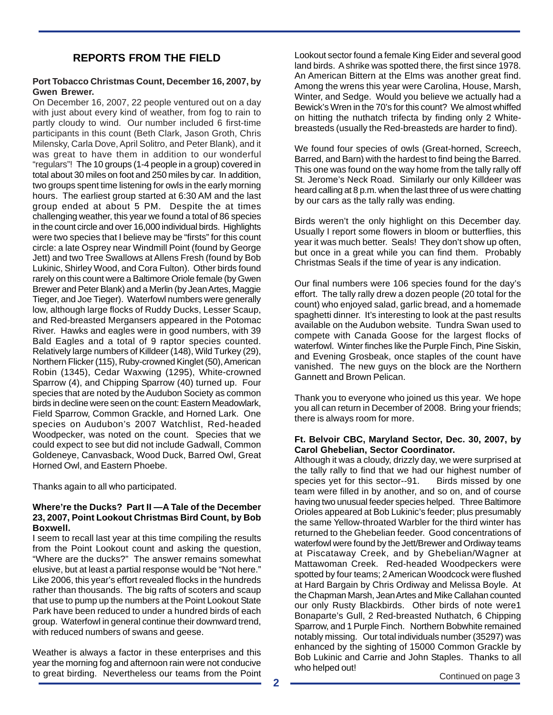## **REPORTS FROM THE FIELD**

#### **Port Tobacco Christmas Count, December 16, 2007, by Gwen Brewer.**

On December 16, 2007, 22 people ventured out on a day with just about every kind of weather, from fog to rain to partly cloudy to wind. Our number included 6 first-time participants in this count (Beth Clark, Jason Groth, Chris Milensky, Carla Dove, April Solitro, and Peter Blank), and it was great to have them in addition to our wonderful "regulars"! The 10 groups (1-4 people in a group) covered in total about 30 miles on foot and 250 miles by car. In addition, two groups spent time listening for owls in the early morning hours. The earliest group started at 6:30 AM and the last group ended at about 5 PM. Despite the at times challenging weather, this year we found a total of 86 species in the count circle and over 16,000 individual birds. Highlights were two species that I believe may be "firsts" for this count circle: a late Osprey near Windmill Point (found by George Jett) and two Tree Swallows at Allens Fresh (found by Bob Lukinic, Shirley Wood, and Cora Fulton). Other birds found rarely on this count were a Baltimore Oriole female (by Gwen Brewer and Peter Blank) and a Merlin (by Jean Artes, Maggie Tieger, and Joe Tieger). Waterfowl numbers were generally low, although large flocks of Ruddy Ducks, Lesser Scaup, and Red-breasted Mergansers appeared in the Potomac River. Hawks and eagles were in good numbers, with 39 Bald Eagles and a total of 9 raptor species counted. Relatively large numbers of Killdeer (148), Wild Turkey (29), Northern Flicker (115), Ruby-crowned Kinglet (50), American Robin (1345), Cedar Waxwing (1295), White-crowned Sparrow (4), and Chipping Sparrow (40) turned up. Four species that are noted by the Audubon Society as common birds in decline were seen on the count: Eastern Meadowlark, Field Sparrow, Common Grackle, and Horned Lark. One species on Audubon's 2007 Watchlist, Red-headed Woodpecker, was noted on the count. Species that we could expect to see but did not include Gadwall, Common Goldeneye, Canvasback, Wood Duck, Barred Owl, Great Horned Owl, and Eastern Phoebe.

Thanks again to all who participated.

#### **Where're the Ducks? Part II —A Tale of the December 23, 2007, Point Lookout Christmas Bird Count, by Bob Boxwell.**

I seem to recall last year at this time compiling the results from the Point Lookout count and asking the question, "Where are the ducks?" The answer remains somewhat elusive, but at least a partial response would be "Not here." Like 2006, this year's effort revealed flocks in the hundreds rather than thousands. The big rafts of scoters and scaup that use to pump up the numbers at the Point Lookout State Park have been reduced to under a hundred birds of each group. Waterfowl in general continue their downward trend, with reduced numbers of swans and geese.

Weather is always a factor in these enterprises and this year the morning fog and afternoon rain were not conducive to great birding. Nevertheless our teams from the Point Lookout sector found a female King Eider and several good land birds. A shrike was spotted there, the first since 1978. An American Bittern at the Elms was another great find. Among the wrens this year were Carolina, House, Marsh, Winter, and Sedge. Would you believe we actually had a Bewick's Wren in the 70's for this count? We almost whiffed on hitting the nuthatch trifecta by finding only 2 Whitebreasteds (usually the Red-breasteds are harder to find).

We found four species of owls (Great-horned, Screech, Barred, and Barn) with the hardest to find being the Barred. This one was found on the way home from the tally rally off St. Jerome's Neck Road. Similarly our only Killdeer was heard calling at 8 p.m. when the last three of us were chatting by our cars as the tally rally was ending.

Birds weren't the only highlight on this December day. Usually I report some flowers in bloom or butterflies, this year it was much better. Seals! They don't show up often, but once in a great while you can find them. Probably Christmas Seals if the time of year is any indication.

Our final numbers were 106 species found for the day's effort. The tally rally drew a dozen people (20 total for the count) who enjoyed salad, garlic bread, and a homemade spaghetti dinner. It's interesting to look at the past results available on the Audubon website. Tundra Swan used to compete with Canada Goose for the largest flocks of waterfowl. Winter finches like the Purple Finch, Pine Siskin, and Evening Grosbeak, once staples of the count have vanished. The new guys on the block are the Northern Gannett and Brown Pelican.

Thank you to everyone who joined us this year. We hope you all can return in December of 2008. Bring your friends; there is always room for more.

#### **Ft. Belvoir CBC, Maryland Sector, Dec. 30, 2007, by Carol Ghebelian, Sector Coordinator.**

Although it was a cloudy, drizzly day, we were surprised at the tally rally to find that we had our highest number of species yet for this sector--91. Birds missed by one team were filled in by another, and so on, and of course having two unusual feeder species helped. Three Baltimore Orioles appeared at Bob Lukinic's feeder; plus presumably the same Yellow-throated Warbler for the third winter has returned to the Ghebelian feeder. Good concentrations of waterfowl were found by the Jett/Brewer and Ordiway teams at Piscataway Creek, and by Ghebelian/Wagner at Mattawoman Creek. Red-headed Woodpeckers were spotted by four teams; 2 American Woodcock were flushed at Hard Bargain by Chris Ordiway and Melissa Boyle. At the Chapman Marsh, Jean Artes and Mike Callahan counted our only Rusty Blackbirds. Other birds of note were1 Bonaparte's Gull, 2 Red-breasted Nuthatch, 6 Chipping Sparrow, and 1 Purple Finch. Northern Bobwhite remained notably missing. Our total individuals number (35297) was enhanced by the sighting of 15000 Common Grackle by Bob Lukinic and Carrie and John Staples. Thanks to all who helped out!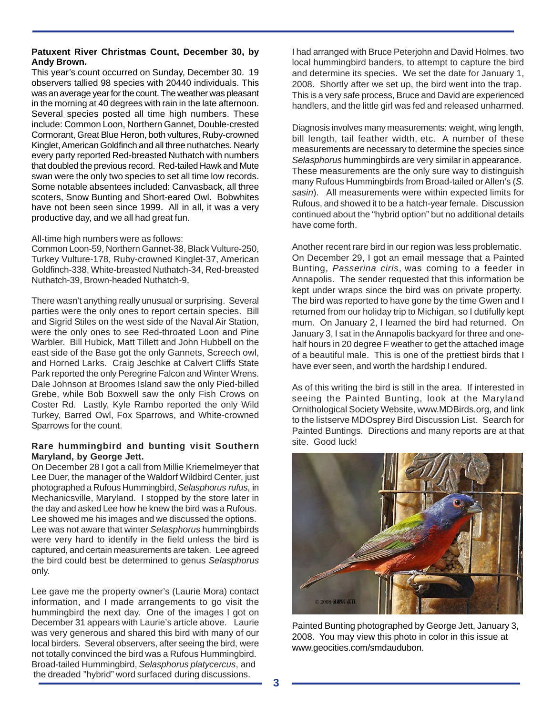### **Patuxent River Christmas Count, December 30, by Andy Brown.**

This year's count occurred on Sunday, December 30. 19 observers tallied 98 species with 20440 individuals. This was an average year for the count. The weather was pleasant in the morning at 40 degrees with rain in the late afternoon. Several species posted all time high numbers. These include: Common Loon, Northern Gannet, Double-crested Cormorant, Great Blue Heron, both vultures, Ruby-crowned Kinglet, American Goldfinch and all three nuthatches. Nearly every party reported Red-breasted Nuthatch with numbers that doubled the previous record. Red-tailed Hawk and Mute swan were the only two species to set all time low records. Some notable absentees included: Canvasback, all three scoters, Snow Bunting and Short-eared Owl. Bobwhites have not been seen since 1999. All in all, it was a very productive day, and we all had great fun.

#### All-time high numbers were as follows:

Common Loon-59, Northern Gannet-38, Black Vulture-250, Turkey Vulture-178, Ruby-crowned Kinglet-37, American Goldfinch-338, White-breasted Nuthatch-34, Red-breasted Nuthatch-39, Brown-headed Nuthatch-9,

There wasn't anything really unusual or surprising. Several parties were the only ones to report certain species. Bill and Sigrid Stiles on the west side of the Naval Air Station, were the only ones to see Red-throated Loon and Pine Warbler. Bill Hubick, Matt Tillett and John Hubbell on the east side of the Base got the only Gannets, Screech owl, and Horned Larks. Craig Jeschke at Calvert Cliffs State Park reported the only Peregrine Falcon and Winter Wrens. Dale Johnson at Broomes Island saw the only Pied-billed Grebe, while Bob Boxwell saw the only Fish Crows on Coster Rd. Lastly, Kyle Rambo reported the only Wild Turkey, Barred Owl, Fox Sparrows, and White-crowned Sparrows for the count.

#### **Rare hummingbird and bunting visit Southern Maryland, by George Jett.**

On December 28 I got a call from Millie Kriemelmeyer that Lee Duer, the manager of the Waldorf Wildbird Center, just photographed a Rufous Hummingbird, *Selasphorus rufus*, in Mechanicsville, Maryland. I stopped by the store later in the day and asked Lee how he knew the bird was a Rufous. Lee showed me his images and we discussed the options. Lee was not aware that winter *Selasphorus* hummingbirds were very hard to identify in the field unless the bird is captured, and certain measurements are taken. Lee agreed the bird could best be determined to genus *Selasphorus* only.

Lee gave me the property owner's (Laurie Mora) contact information, and I made arrangements to go visit the hummingbird the next day. One of the images I got on December 31 appears with Laurie's article above. Laurie was very generous and shared this bird with many of our local birders. Several observers, after seeing the bird, were not totally convinced the bird was a Rufous Hummingbird. Broad-tailed Hummingbird, *Selasphorus platycercus*, and the dreaded "hybrid" word surfaced during discussions.

I had arranged with Bruce Peterjohn and David Holmes, two local hummingbird banders, to attempt to capture the bird and determine its species. We set the date for January 1, 2008. Shortly after we set up, the bird went into the trap. This is a very safe process, Bruce and David are experienced handlers, and the little girl was fed and released unharmed.

Diagnosis involves many measurements: weight, wing length, bill length, tail feather width, etc. A number of these measurements are necessary to determine the species since *Selasphorus* hummingbirds are very similar in appearance. These measurements are the only sure way to distinguish many Rufous Hummingbirds from Broad-tailed or Allen's (*S. sasin*). All measurements were within expected limits for Rufous, and showed it to be a hatch-year female. Discussion continued about the "hybrid option" but no additional details have come forth.

Another recent rare bird in our region was less problematic. On December 29, I got an email message that a Painted Bunting, *Passerina ciris*, was coming to a feeder in Annapolis. The sender requested that this information be kept under wraps since the bird was on private property. The bird was reported to have gone by the time Gwen and I returned from our holiday trip to Michigan, so I dutifully kept mum. On January 2, I learned the bird had returned. On January 3, I sat in the Annapolis backyard for three and onehalf hours in 20 degree F weather to get the attached image of a beautiful male. This is one of the prettiest birds that I have ever seen, and worth the hardship I endured.

As of this writing the bird is still in the area. If interested in seeing the Painted Bunting, look at the Maryland Ornithological Society Website, www.MDBirds.org, and link to the listserve MDOsprey Bird Discussion List. Search for Painted Buntings. Directions and many reports are at that site. Good luck!



Painted Bunting photographed by George Jett, January 3, 2008. You may view this photo in color in this issue at www.geocities.com/smdaudubon.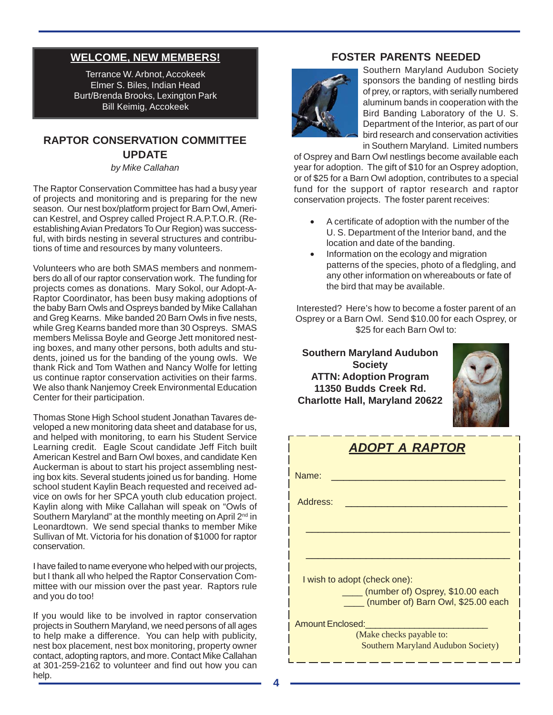## **WELCOME, NEW MEMBERS!**

Terrance W. Arbnot, Accokeek Elmer S. Biles, Indian Head Burt/Brenda Brooks, Lexington Park Bill Keimig, Accokeek

## **RAPTOR CONSERVATION COMMITTEE UPDATE**

*by Mike Callahan*

The Raptor Conservation Committee has had a busy year of projects and monitoring and is preparing for the new season. Our nest box/platform project for Barn Owl, American Kestrel, and Osprey called Project R.A.P.T.O.R. (Reestablishing Avian Predators To Our Region) was successful, with birds nesting in several structures and contributions of time and resources by many volunteers.

Volunteers who are both SMAS members and nonmembers do all of our raptor conservation work. The funding for projects comes as donations. Mary Sokol, our Adopt-A-Raptor Coordinator, has been busy making adoptions of the baby Barn Owls and Ospreys banded by Mike Callahan and Greg Kearns. Mike banded 20 Barn Owls in five nests, while Greg Kearns banded more than 30 Ospreys. SMAS members Melissa Boyle and George Jett monitored nesting boxes, and many other persons, both adults and students, joined us for the banding of the young owls. We thank Rick and Tom Wathen and Nancy Wolfe for letting us continue raptor conservation activities on their farms. We also thank Nanjemoy Creek Environmental Education Center for their participation.

Thomas Stone High School student Jonathan Tavares developed a new monitoring data sheet and database for us, and helped with monitoring, to earn his Student Service Learning credit. Eagle Scout candidate Jeff Fitch built American Kestrel and Barn Owl boxes, and candidate Ken Auckerman is about to start his project assembling nesting box kits. Several students joined us for banding. Home school student Kaylin Beach requested and received advice on owls for her SPCA youth club education project. Kaylin along with Mike Callahan will speak on "Owls of Southern Maryland" at the monthly meeting on April 2<sup>nd</sup> in Leonardtown. We send special thanks to member Mike Sullivan of Mt. Victoria for his donation of \$1000 for raptor conservation.

I have failed to name everyone who helped with our projects, but I thank all who helped the Raptor Conservation Committee with our mission over the past year. Raptors rule and you do too!

If you would like to be involved in raptor conservation projects in Southern Maryland, we need persons of all ages to help make a difference. You can help with publicity, nest box placement, nest box monitoring, property owner contact, adopting raptors, and more. Contact Mike Callahan at 301-259-2162 to volunteer and find out how you can help.

## **FOSTER PARENTS NEEDED**



Southern Maryland Audubon Society sponsors the banding of nestling birds of prey, or raptors, with serially numbered aluminum bands in cooperation with the Bird Banding Laboratory of the U. S. Department of the Interior, as part of our bird research and conservation activities in Southern Maryland. Limited numbers

of Osprey and Barn Owl nestlings become available each year for adoption. The gift of \$10 for an Osprey adoption, or of \$25 for a Barn Owl adoption, contributes to a special fund for the support of raptor research and raptor conservation projects. The foster parent receives:

- A certificate of adoption with the number of the U. S. Department of the Interior band, and the location and date of the banding.
- Information on the ecology and migration patterns of the species, photo of a fledgling, and any other information on whereabouts or fate of the bird that may be available.

Interested? Here's how to become a foster parent of an Osprey or a Barn Owl. Send \$10.00 for each Osprey, or \$25 for each Barn Owl to:

**Southern Maryland Audubon Society ATTN: Adoption Program 11350 Budds Creek Rd. Charlotte Hall, Maryland 20622**



| <b>ADOPT A RAPTOR</b>                                                       |  |  |  |  |
|-----------------------------------------------------------------------------|--|--|--|--|
| Name:                                                                       |  |  |  |  |
| Address:                                                                    |  |  |  |  |
|                                                                             |  |  |  |  |
|                                                                             |  |  |  |  |
| I wish to adopt (check one):                                                |  |  |  |  |
| ____ (number of) Osprey, \$10.00 each<br>(number of) Barn Owl, \$25.00 each |  |  |  |  |
| <b>Amount Enclosed:</b>                                                     |  |  |  |  |
| (Make checks payable to:<br>Southern Maryland Audubon Society)              |  |  |  |  |

\_\_\_\_\_\_\_\_\_\_\_\_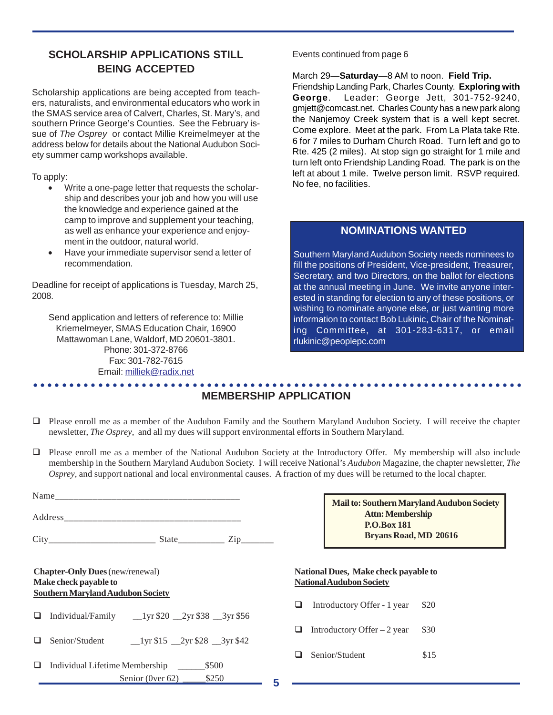## **SCHOLARSHIP APPLICATIONS STILL BEING ACCEPTED**

Scholarship applications are being accepted from teachers, naturalists, and environmental educators who work in the SMAS service area of Calvert, Charles, St. Mary's, and southern Prince George's Counties. See the February issue of *The Osprey* or contact Millie Kreimelmeyer at the address below for details about the National Audubon Society summer camp workshops available.

To apply:

- Write a one-page letter that requests the scholarship and describes your job and how you will use the knowledge and experience gained at the camp to improve and supplement your teaching, as well as enhance your experience and enjoyment in the outdoor, natural world.
- Have your immediate supervisor send a letter of recommendation.

Deadline for receipt of applications is Tuesday, March 25, 2008.

Send application and letters of reference to: Millie Kriemelmeyer, SMAS Education Chair, 16900 Mattawoman Lane, Waldorf, MD 20601-3801. Phone: 301-372-8766 Fax: 301-782-7615 Email: milliek@radix.net

Events continued from page 6

March 29—**Saturday**—8 AM to noon. **Field Trip.**

Friendship Landing Park, Charles County. **Exploring with George**. Leader: George Jett, 301-752-9240, gmjett@comcast.net. Charles County has a new park along the Nanjemoy Creek system that is a well kept secret. Come explore. Meet at the park. From La Plata take Rte. 6 for 7 miles to Durham Church Road. Turn left and go to Rte. 425 (2 miles). At stop sign go straight for 1 mile and turn left onto Friendship Landing Road. The park is on the left at about 1 mile. Twelve person limit. RSVP required. No fee, no facilities.

## **NOMINATIONS WANTED**

Southern Maryland Audubon Society needs nominees to fill the positions of President, Vice-president, Treasurer, Secretary, and two Directors, on the ballot for elections at the annual meeting in June. We invite anyone interested in standing for election to any of these positions, or wishing to nominate anyone else, or just wanting more information to contact Bob Lukinic, Chair of the Nominating Committee, at 301-283-6317, or email rlukinic@peoplepc.com

#### ○○○○○○○○○○○○○○○○○○○○○○○○○○○○○○○○○○○○○○○○○○○○ ○○○○○○○○○○○○○○○○○○○○○○○○ **MEMBERSHIP APPLICATION**

- Please enroll me as a member of the Audubon Family and the Southern Maryland Audubon Society. I will receive the chapter newsletter, *The Osprey*, and all my dues will support environmental efforts in Southern Maryland.
- Please enroll me as a member of the National Audubon Society at the Introductory Offer. My membership will also include membership in the Southern Maryland Audubon Society. I will receive National's *Audubon* Magazine, the chapter newsletter, *The Osprey*, and support national and local environmental causes. A fraction of my dues will be returned to the local chapter.

|   | <b>Chapter-Only Dues</b> (new/renewal)<br>Make check payable to<br><b>Southern Maryland Audubon Society</b> | <b>National</b><br><b>Natio</b><br>I I |
|---|-------------------------------------------------------------------------------------------------------------|----------------------------------------|
|   | $\Box$ Individual/Family __1yr \$20 __2yr \$38 __3yr \$56                                                   |                                        |
|   |                                                                                                             |                                        |
| ⊔ | Individual Lifetime Membership ______<br>\$500                                                              |                                        |
|   |                                                                                                             |                                        |

| Mail to: Southern Maryland Audubon Society |  |
|--------------------------------------------|--|
| <b>Attn: Membership</b>                    |  |
| <b>P.O.Box 181</b>                         |  |
| <b>Bryans Road, MD 20616</b>               |  |

#### **National Dues, Make check payable to National Audubon Society**

Introductory Offer - 1 year \$20

Introductory Offer  $-2$  year \$30

Senior/Student \$15